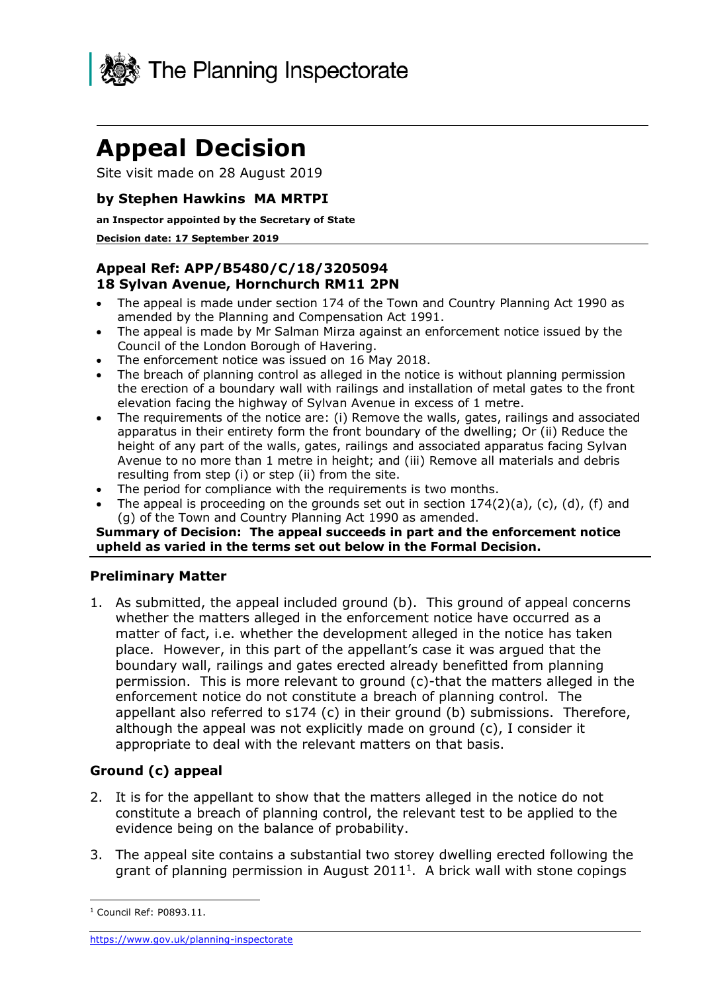

# **Appeal Decision**

Site visit made on 28 August 2019

# **by Stephen Hawkins MA MRTPI**

### **an Inspector appointed by the Secretary of State**

### **Decision date: 17 September 2019**

# **Appeal Ref: APP/B5480/C/18/3205094 18 Sylvan Avenue, Hornchurch RM11 2PN**

- • The appeal is made under section 174 of the Town and Country Planning Act 1990 as amended by the Planning and Compensation Act 1991.
- • The appeal is made by Mr Salman Mirza against an enforcement notice issued by the Council of the London Borough of Havering.
- The enforcement notice was issued on 16 May 2018.
- • The breach of planning control as alleged in the notice is without planning permission the erection of a boundary wall with railings and installation of metal gates to the front elevation facing the highway of Sylvan Avenue in excess of 1 metre.
- • The requirements of the notice are: (i) Remove the walls, gates, railings and associated apparatus in their entirety form the front boundary of the dwelling; Or (ii) Reduce the height of any part of the walls, gates, railings and associated apparatus facing Sylvan Avenue to no more than 1 metre in height; and (iii) Remove all materials and debris resulting from step (i) or step (ii) from the site.
- The period for compliance with the requirements is two months.
- The appeal is proceeding on the grounds set out in section  $174(2)(a)$ , (c), (d), (f) and (g) of the Town and Country Planning Act 1990 as amended.

### **Summary of Decision: The appeal succeeds in part and the enforcement notice upheld as varied in the terms set out below in the Formal Decision.**

## **Preliminary Matter**

 1. As submitted, the appeal included ground (b). This ground of appeal concerns whether the matters alleged in the enforcement notice have occurred as a matter of fact, i.e. whether the development alleged in the notice has taken boundary wall, railings and gates erected already benefitted from planning permission. This is more relevant to ground (c)-that the matters alleged in the enforcement notice do not constitute a breach of planning control. The appellant also referred to s174 (c) in their ground (b) submissions. Therefore, although the appeal was not explicitly made on ground (c), I consider it appropriate to deal with the relevant matters on that basis. place. However, in this part of the appellant's case it was argued that the

# **Ground (c) appeal**

- 2. It is for the appellant to show that the matters alleged in the notice do not constitute a breach of planning control, the relevant test to be applied to the evidence being on the balance of probability.
- 3. The appeal site contains a substantial two storey dwelling erected following the grant of planning permission in August 2011<sup>1</sup>. A brick wall with stone copings

-

 $1$  Council Ref: P0893.11.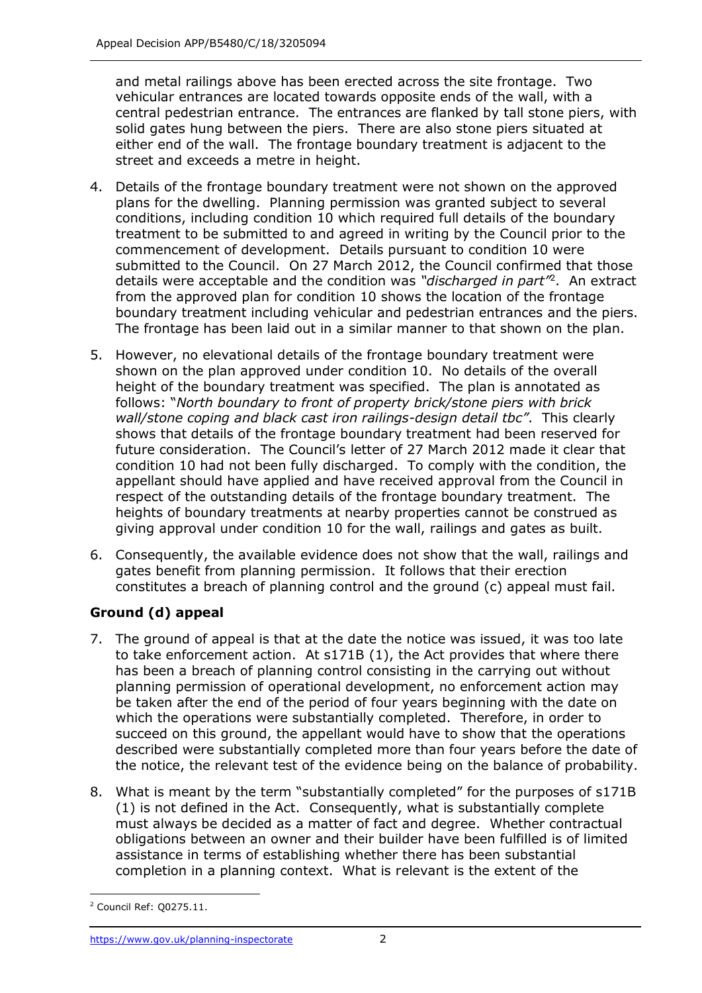and metal railings above has been erected across the site frontage. Two central pedestrian entrance. The entrances are flanked by tall stone piers, with either end of the wall. The frontage boundary treatment is adjacent to the street and exceeds a metre in height. vehicular entrances are located towards opposite ends of the wall, with a solid gates hung between the piers. There are also stone piers situated at

- 4. Details of the frontage boundary treatment were not shown on the approved plans for the dwelling. Planning permission was granted subject to several conditions, including condition 10 which required full details of the boundary treatment to be submitted to and agreed in writing by the Council prior to the commencement of development. Details pursuant to condition 10 were submitted to the Council. On 27 March 2012, the Council confirmed that those details were acceptable and the condition was *"discharged in part"*2. An extract boundary treatment including vehicular and pedestrian entrances and the piers. The frontage has been laid out in a similar manner to that shown on the plan. from the approved plan for condition 10 shows the location of the frontage
- 5. However, no elevational details of the frontage boundary treatment were shown on the plan approved under condition 10. No details of the overall height of the boundary treatment was specified. The plan is annotated as  follows: "*North boundary to front of property brick/stone piers with brick*  shows that details of the frontage boundary treatment had been reserved for future consideration. The Council's letter of 27 March 2012 made it clear that condition 10 had not been fully discharged. To comply with the condition, the appellant should have applied and have received approval from the Council in respect of the outstanding details of the frontage boundary treatment. The heights of boundary treatments at nearby properties cannot be construed as giving approval under condition 10 for the wall, railings and gates as built. *wall/stone coping and black cast iron railings-design detail tbc"*. This clearly
- 6. Consequently, the available evidence does not show that the wall, railings and gates benefit from planning permission. It follows that their erection constitutes a breach of planning control and the ground (c) appeal must fail.

# **Ground (d) appeal**

- 7. The ground of appeal is that at the date the notice was issued, it was too late to take enforcement action. At s171B (1), the Act provides that where there has been a breach of planning control consisting in the carrying out without be taken after the end of the period of four years beginning with the date on which the operations were substantially completed. Therefore, in order to succeed on this ground, the appellant would have to show that the operations described were substantially completed more than four years before the date of the notice, the relevant test of the evidence being on the balance of probability. planning permission of operational development, no enforcement action may
- 8. What is meant by the term "substantially completed" for the purposes of s171B (1) is not defined in the Act. Consequently, what is substantially complete must always be decided as a matter of fact and degree. Whether contractual obligations between an owner and their builder have been fulfilled is of limited assistance in terms of establishing whether there has been substantial completion in a planning context. What is relevant is the extent of the

j 2 Council Ref: Q0275.11.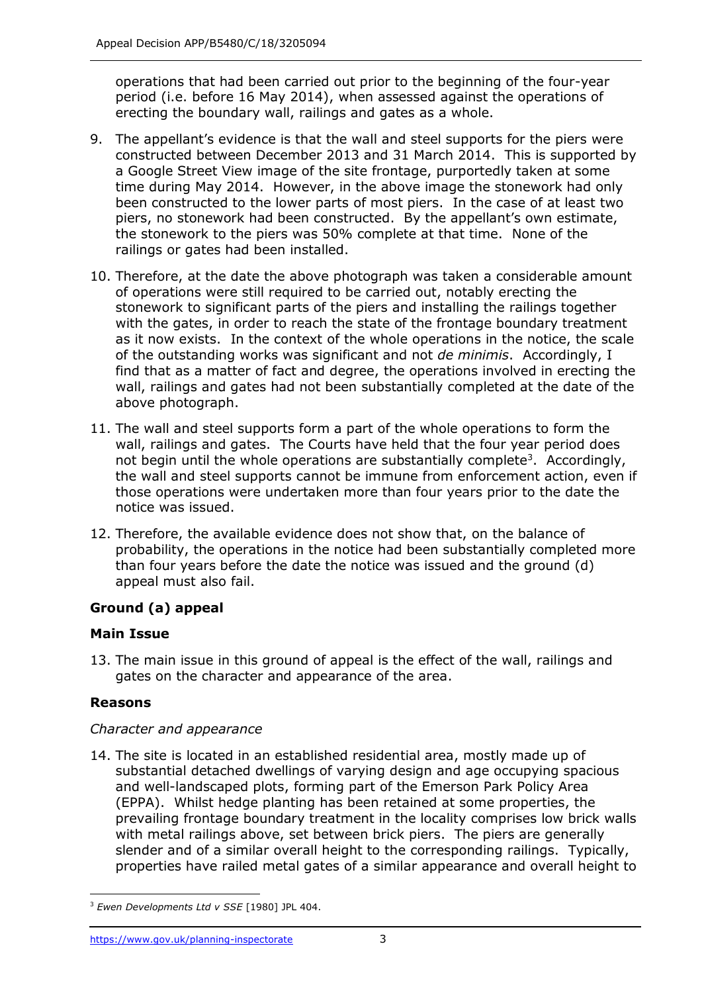operations that had been carried out prior to the beginning of the four-year period (i.e. before 16 May 2014), when assessed against the operations of erecting the boundary wall, railings and gates as a whole.

- 9. The appellant's evidence is that the wall and steel supports for the piers were constructed between December 2013 and 31 March 2014. This is supported by a Google Street View image of the site frontage, purportedly taken at some time during May 2014. However, in the above image the stonework had only been constructed to the lower parts of most piers. In the case of at least two piers, no stonework had been constructed. By the appellant's own estimate, the stonework to the piers was 50% complete at that time. None of the railings or gates had been installed.
- of operations were still required to be carried out, notably erecting the stonework to significant parts of the piers and installing the railings together with the gates, in order to reach the state of the frontage boundary treatment as it now exists. In the context of the whole operations in the notice, the scale of the outstanding works was significant and not *de minimis*. Accordingly, I find that as a matter of fact and degree, the operations involved in erecting the wall, railings and gates had not been substantially completed at the date of the 10. Therefore, at the date the above photograph was taken a considerable amount above photograph.
- 11. The wall and steel supports form a part of the whole operations to form the wall, railings and gates. The Courts have held that the four year period does not begin until the whole operations are substantially complete<sup>3</sup>. Accordingly, the wall and steel supports cannot be immune from enforcement action, even if those operations were undertaken more than four years prior to the date the notice was issued.
- 12. Therefore, the available evidence does not show that, on the balance of probability, the operations in the notice had been substantially completed more than four years before the date the notice was issued and the ground (d) appeal must also fail.

# **Ground (a) appeal**

# **Main Issue**

 gates on the character and appearance of the area. 13. The main issue in this ground of appeal is the effect of the wall, railings and

# **Reasons**

# *Character and appearance*

 14. The site is located in an established residential area, mostly made up of and well-landscaped plots, forming part of the Emerson Park Policy Area (EPPA). Whilst hedge planting has been retained at some properties, the prevailing frontage boundary treatment in the locality comprises low brick walls with metal railings above, set between brick piers. The piers are generally slender and of a similar overall height to the corresponding railings. Typically, properties have railed metal gates of a similar appearance and overall height to substantial detached dwellings of varying design and age occupying spacious

j <sup>3</sup>*Ewen Developments Ltd v SSE* [1980] JPL 404.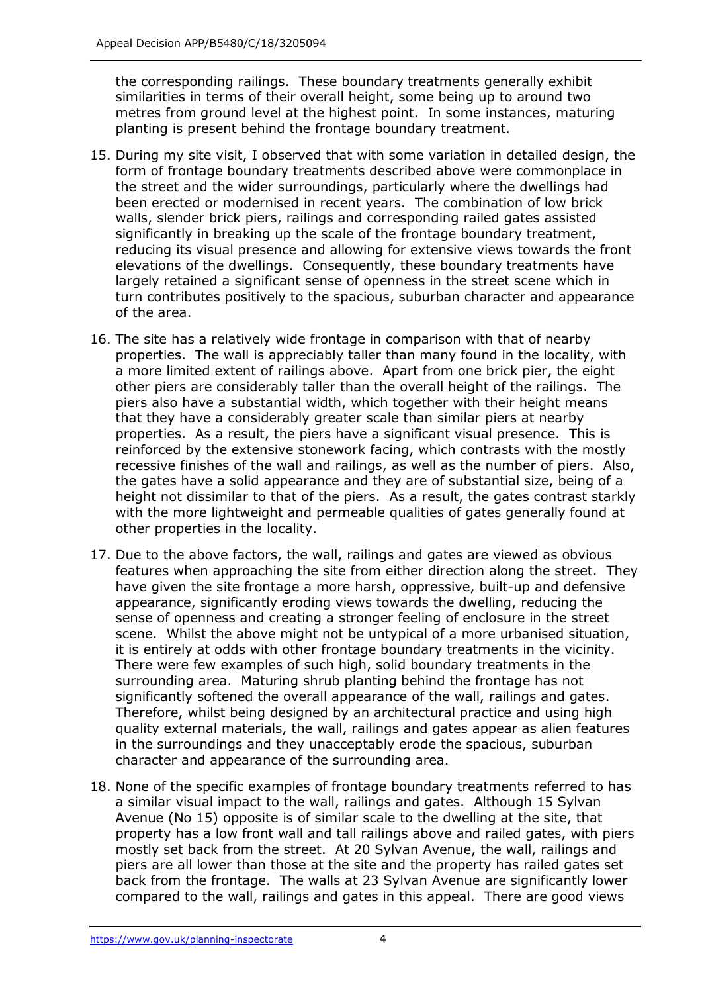similarities in terms of their overall height, some being up to around two metres from ground level at the highest point. In some instances, maturing planting is present behind the frontage boundary treatment. the corresponding railings. These boundary treatments generally exhibit

- 15. During my site visit, I observed that with some variation in detailed design, the form of frontage boundary treatments described above were commonplace in the street and the wider surroundings, particularly where the dwellings had been erected or modernised in recent years. The combination of low brick walls, slender brick piers, railings and corresponding railed gates assisted significantly in breaking up the scale of the frontage boundary treatment, reducing its visual presence and allowing for extensive views towards the front elevations of the dwellings. Consequently, these boundary treatments have largely retained a significant sense of openness in the street scene which in turn contributes positively to the spacious, suburban character and appearance of the area.
- 16. The site has a relatively wide frontage in comparison with that of nearby properties. The wall is appreciably taller than many found in the locality, with a more limited extent of railings above. Apart from one brick pier, the eight other piers are considerably taller than the overall height of the railings. The piers also have a substantial width, which together with their height means that they have a considerably greater scale than similar piers at nearby properties. As a result, the piers have a significant visual presence. This is reinforced by the extensive stonework facing, which contrasts with the mostly recessive finishes of the wall and railings, as well as the number of piers. Also, the gates have a solid appearance and they are of substantial size, being of a height not dissimilar to that of the piers. As a result, the gates contrast starkly with the more lightweight and permeable qualities of gates generally found at other properties in the locality.
- 17. Due to the above factors, the wall, railings and gates are viewed as obvious features when approaching the site from either direction along the street. They have given the site frontage a more harsh, oppressive, built-up and defensive appearance, significantly eroding views towards the dwelling, reducing the sense of openness and creating a stronger feeling of enclosure in the street scene. Whilst the above might not be untypical of a more urbanised situation, it is entirely at odds with other frontage boundary treatments in the vicinity. There were few examples of such high, solid boundary treatments in the surrounding area. Maturing shrub planting behind the frontage has not significantly softened the overall appearance of the wall, railings and gates. character and appearance of the surrounding area. Therefore, whilst being designed by an architectural practice and using high quality external materials, the wall, railings and gates appear as alien features in the surroundings and they unacceptably erode the spacious, suburban
- 18. None of the specific examples of frontage boundary treatments referred to has a similar visual impact to the wall, railings and gates. Although 15 Sylvan Avenue (No 15) opposite is of similar scale to the dwelling at the site, that property has a low front wall and tall railings above and railed gates, with piers mostly set back from the street. At 20 Sylvan Avenue, the wall, railings and piers are all lower than those at the site and the property has railed gates set back from the frontage. The walls at 23 Sylvan Avenue are significantly lower compared to the wall, railings and gates in this appeal. There are good views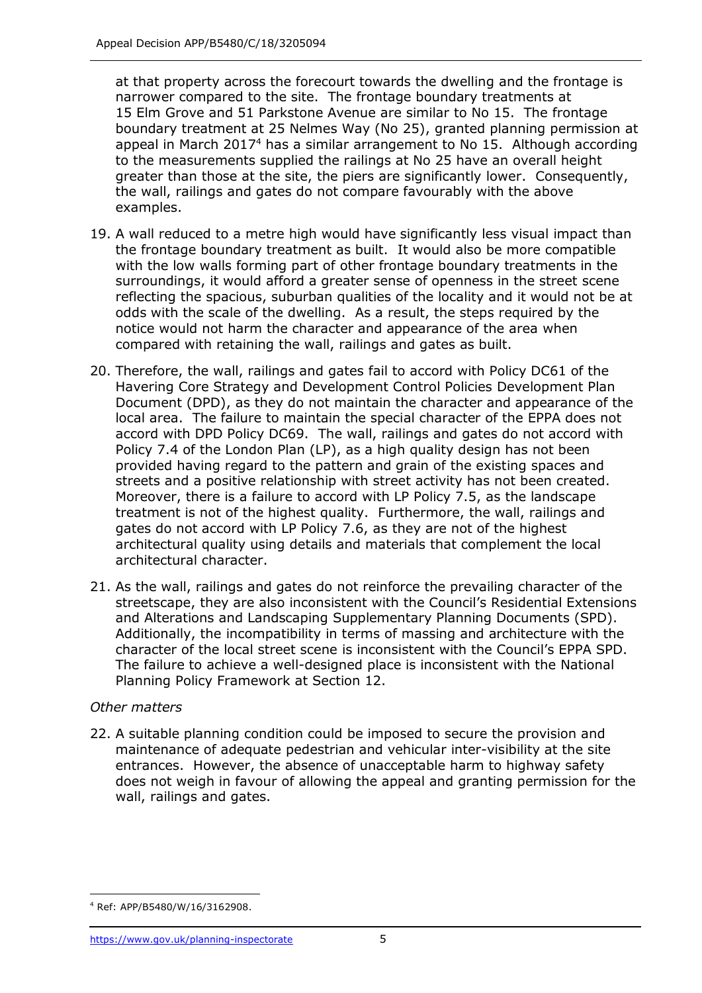at that property across the forecourt towards the dwelling and the frontage is narrower compared to the site. The frontage boundary treatments at 15 Elm Grove and 51 Parkstone Avenue are similar to No 15. The frontage boundary treatment at 25 Nelmes Way (No 25), granted planning permission at appeal in March 2017<sup>4</sup> has a similar arrangement to No 15. Although according to the measurements supplied the railings at No 25 have an overall height greater than those at the site, the piers are significantly lower. Consequently, the wall, railings and gates do not compare favourably with the above examples.

- 19. A wall reduced to a metre high would have significantly less visual impact than the frontage boundary treatment as built. It would also be more compatible surroundings, it would afford a greater sense of openness in the street scene reflecting the spacious, suburban qualities of the locality and it would not be at odds with the scale of the dwelling. As a result, the steps required by the notice would not harm the character and appearance of the area when compared with retaining the wall, railings and gates as built. with the low walls forming part of other frontage boundary treatments in the
- 20. Therefore, the wall, railings and gates fail to accord with Policy DC61 of the Havering Core Strategy and Development Control Policies Development Plan Document (DPD), as they do not maintain the character and appearance of the local area. The failure to maintain the special character of the EPPA does not accord with DPD Policy DC69. The wall, railings and gates do not accord with Policy 7.4 of the London Plan (LP), as a high quality design has not been provided having regard to the pattern and grain of the existing spaces and streets and a positive relationship with street activity has not been created. Moreover, there is a failure to accord with LP Policy 7.5, as the landscape treatment is not of the highest quality. Furthermore, the wall, railings and gates do not accord with LP Policy 7.6, as they are not of the highest architectural quality using details and materials that complement the local architectural character.
- 21. As the wall, railings and gates do not reinforce the prevailing character of the streetscape, they are also inconsistent with the Council's Residential Extensions and Alterations and Landscaping Supplementary Planning Documents (SPD). Additionally, the incompatibility in terms of massing and architecture with the character of the local street scene is inconsistent with the Council's EPPA SPD. The failure to achieve a well-designed place is inconsistent with the National Planning Policy Framework at Section 12.

# *Other matters*

 22. A suitable planning condition could be imposed to secure the provision and maintenance of adequate pedestrian and vehicular inter-visibility at the site entrances. However, the absence of unacceptable harm to highway safety does not weigh in favour of allowing the appeal and granting permission for the wall, railings and gates.

j 4 Ref: APP/B5480/W/16/3162908.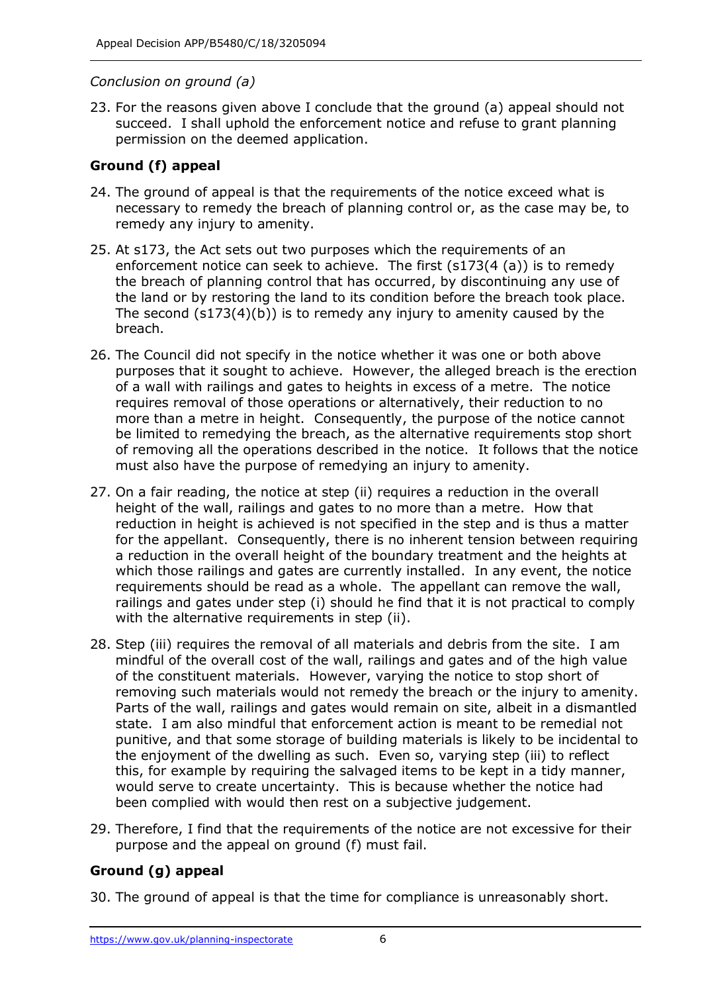## *Conclusion on ground (a)*

 23. For the reasons given above I conclude that the ground (a) appeal should not succeed. I shall uphold the enforcement notice and refuse to grant planning permission on the deemed application.

# **Ground (f) appeal**

- 24. The ground of appeal is that the requirements of the notice exceed what is necessary to remedy the breach of planning control or, as the case may be, to remedy any injury to amenity.
- 25. At s173, the Act sets out two purposes which the requirements of an enforcement notice can seek to achieve. The first (s173(4 (a)) is to remedy the breach of planning control that has occurred, by discontinuing any use of the land or by restoring the land to its condition before the breach took place. The second (s173(4)(b)) is to remedy any injury to amenity caused by the breach.
- breach. 26. The Council did not specify in the notice whether it was one or both above purposes that it sought to achieve. However, the alleged breach is the erection of a wall with railings and gates to heights in excess of a metre. The notice requires removal of those operations or alternatively, their reduction to no more than a metre in height. Consequently, the purpose of the notice cannot be limited to remedying the breach, as the alternative requirements stop short of removing all the operations described in the notice. It follows that the notice must also have the purpose of remedying an injury to amenity.
- 27. On a fair reading, the notice at step (ii) requires a reduction in the overall height of the wall, railings and gates to no more than a metre. How that reduction in height is achieved is not specified in the step and is thus a matter for the appellant. Consequently, there is no inherent tension between requiring a reduction in the overall height of the boundary treatment and the heights at which those railings and gates are currently installed. In any event, the notice requirements should be read as a whole. The appellant can remove the wall, railings and gates under step (i) should he find that it is not practical to comply with the alternative requirements in step (ii).
- 28. Step (iii) requires the removal of all materials and debris from the site. I am mindful of the overall cost of the wall, railings and gates and of the high value of the constituent materials. However, varying the notice to stop short of removing such materials would not remedy the breach or the injury to amenity. Parts of the wall, railings and gates would remain on site, albeit in a dismantled state. I am also mindful that enforcement action is meant to be remedial not punitive, and that some storage of building materials is likely to be incidental to the enjoyment of the dwelling as such. Even so, varying step (iii) to reflect this, for example by requiring the salvaged items to be kept in a tidy manner, would serve to create uncertainty. This is because whether the notice had been complied with would then rest on a subjective judgement.
- 29. Therefore, I find that the requirements of the notice are not excessive for their purpose and the appeal on ground (f) must fail.

# **Ground (g) appeal**

30. The ground of appeal is that the time for compliance is unreasonably short.